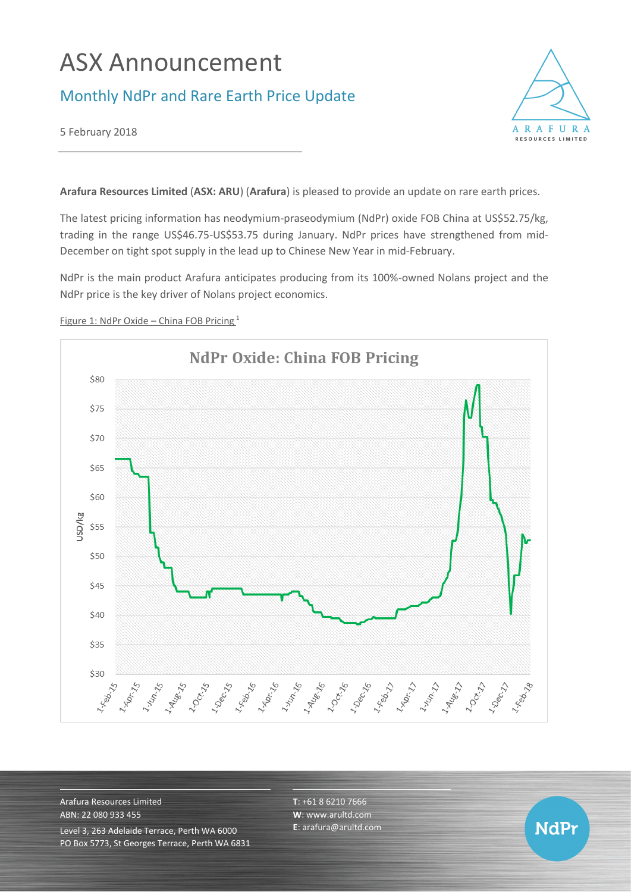# ASX Announcement

## Monthly NdPr and Rare Earth Price Update



5 February 2018

**Arafura Resources Limited** (**ASX: ARU**) (**Arafura**) is pleased to provide an update on rare earth prices.

The latest pricing information has neodymium-praseodymium (NdPr) oxide FOB China at US\$52.75/kg, trading in the range US\$46.75-US\$53.75 during January. NdPr prices have strengthened from mid-December on tight spot supply in the lead up to Chinese New Year in mid-February.

NdPr is the main product Arafura anticipates producing from its 100%-owned Nolans project and the NdPr price is the key driver of Nolans project economics.



Figure 1: NdPr Oxide – China FOB Pricing <sup>1</sup>

Arafura Resources Limited ABN: 22 080 933 455 Level 3, 263 Adelaide Terrace, Perth WA 6000 PO Box 5773, St Georges Terrace, Perth WA 6831 **T**: +61 8 6210 7666 **W**: [www.arultd.com](http://www.arultd.com/) **E**[: arafura@arultd.com](mailto:arafura@arultd.com)

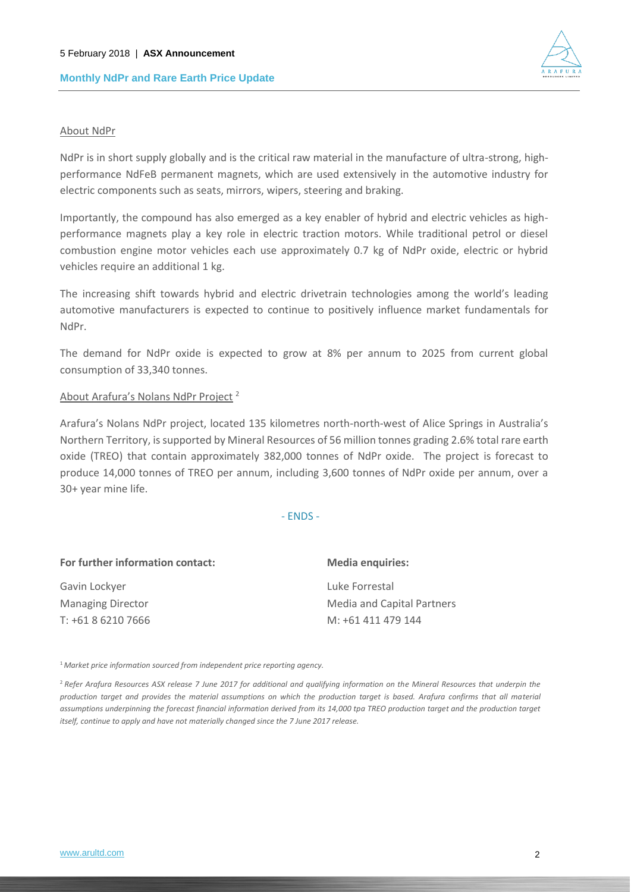

#### About NdPr

NdPr is in short supply globally and is the critical raw material in the manufacture of ultra-strong, highperformance NdFeB permanent magnets, which are used extensively in the automotive industry for electric components such as seats, mirrors, wipers, steering and braking.

Importantly, the compound has also emerged as a key enabler of hybrid and electric vehicles as highperformance magnets play a key role in electric traction motors. While traditional petrol or diesel combustion engine motor vehicles each use approximately 0.7 kg of NdPr oxide, electric or hybrid vehicles require an additional 1 kg.

The increasing shift towards hybrid and electric drivetrain technologies among the world's leading automotive manufacturers is expected to continue to positively influence market fundamentals for NdPr.

The demand for NdPr oxide is expected to grow at 8% per annum to 2025 from current global consumption of 33,340 tonnes.

#### About Arafura's Nolans NdPr Project <sup>2</sup>

Arafura's Nolans NdPr project, located 135 kilometres north-north-west of Alice Springs in Australia's Northern Territory, is supported by Mineral Resources of 56 million tonnes grading 2.6% total rare earth oxide (TREO) that contain approximately 382,000 tonnes of NdPr oxide. The project is forecast to produce 14,000 tonnes of TREO per annum, including 3,600 tonnes of NdPr oxide per annum, over a 30+ year mine life.

- ENDS -

| For further information contact: | <b>Media enquiries:</b>    |
|----------------------------------|----------------------------|
| Gavin Lockyer                    | Luke Forrestal             |
| <b>Managing Director</b>         | Media and Capital Partners |
| T: +61 8 6210 7666               | M: +61 411 479 144         |

<sup>1</sup>*Market price information sourced from independent price reporting agency.*

<sup>2</sup>*Refer Arafura Resources ASX release 7 June 2017 for additional and qualifying information on the Mineral Resources that underpin the production target and provides the material assumptions on which the production target is based. Arafura confirms that all material*  assumptions underpinning the forecast financial information derived from its 14,000 tpa TREO production target and the production target *itself, continue to apply and have not materially changed since the 7 June 2017 release.*